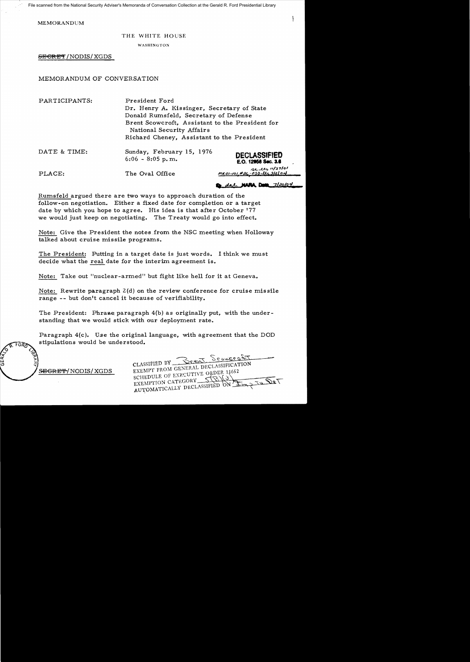MEMORANDUM

## THE WHITE HOUSE

WASHINGTON

 $B$ <del>ECRET</del>/NODIS/XGDS

## MEMORANDUM OF CONVERSATION

PARTICIPANTS: President Ford Dr. Henry A. Kissinger, Secretary of State Donald Rumsfeld, Secretary of Defense Brent Scowcroft, Assistant to the President for National Security Affairs Richard Cheney, Assistant to the President

| DATE & TIME: | Sunday, February 15, 1976<br>$6:06 - 8:05$ p.m. | <b>DECLASSIFIED</b><br>E.O. 12958 Sec. 3.6        |
|--------------|-------------------------------------------------|---------------------------------------------------|
| PLACE:       | The Oval Office                                 | $4t.2t$ $1/27/0$<br>$mc01-101 + 26.050$ dt 3/2/04 |

**D=.** dal NAPA D== 7/20104

Rumsfeld argued there are two ways to approach duration of the follow-on negotiation. Either a fixed date for completion or a target date by which you hope to agree. His idea is that after October '77 we would just keep on negotiating. The Treaty would go into effect.

Note: Give the President the notes from the NSC meeting when Holloway talked about cruise missile programs.

The President: Putting in a target date is just words. I think we must decide what the real date for the interim agreement is.

Note: Take out "nuclear-armed" but fight like hell for it at Geneva.

Note: Rewrite paragraph 2(d) on the review conference for cruise missile range -- but don't cancel it because of verifiability.

The President: Phrase paragraph  $4(b)$  as originally put, with the understanding that we would stick with our deployment rate.

Paragraph 4(c). Use the original language, with agreement that the DOD stipulations would be understood.

CLASSIFIED BY <u>Sessent Sessence</u>

<del>SEGRET/</del>NODIS/XGDS

CLASSIFIED BY SENERAL DECLASSIFICATION SCHEDULE OF EXECUTIVE ORDER 11652 EXEMPTION CATEGORY 550 ON La 3 EXEMPTION CATEGORY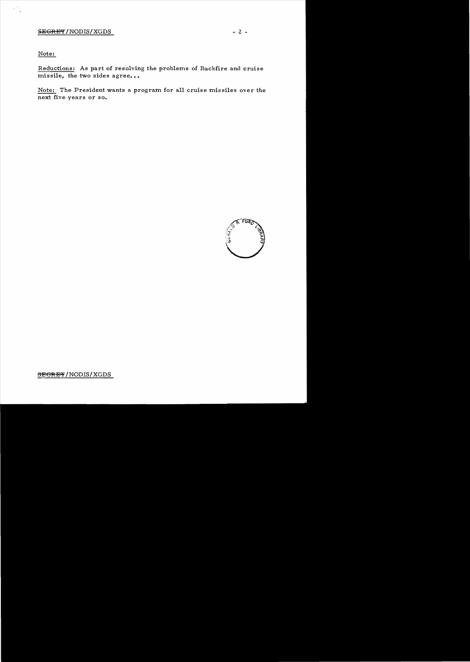Note:

 $\mathcal{L}_{\text{max}}^{\text{max}}$ 

Reductions: As part of resolving the problems of Backfire and cruise  $\overline{\text{missile}}$ , the two sides agree...

Note: The President wants a program for all cruise missiles over the next five years or so.

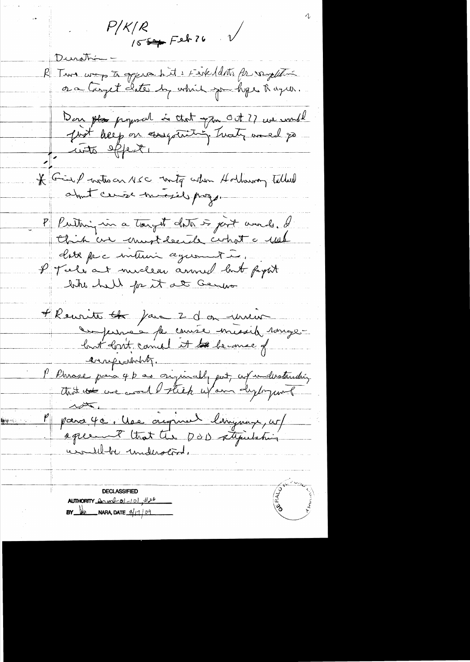$P/K/R$  $155 + 52626$ Duration R Turs was to opperabile i Féréldets for vergetelini Don pla proposal is that you out? ? we would<br>Just help on essentation, Twater amed po \* Give water nec mity when Hollaway telled P Putting in a tought date is just and. I this are must decide cohot a rule clite pac interni ce guerret à I Tele at miclear annul lat fight bit hell for it at Genera + Reurite <del>de</del> faire 2 d'on institution enprobably. P Phrase para 4 b as originally put, af understanding P para 40. Use original linguage, urf **Repart : 1999** un 11 milho 15 **CERTIFY REPAIR DECLASSIFIED** AUTHORITY  $l(x, w_0^2 - 10)$ , #26  $\mathbf{BY}$   $\mathbf{A}$  NARA, DATE  $\mathbf{A}^{11}$  09